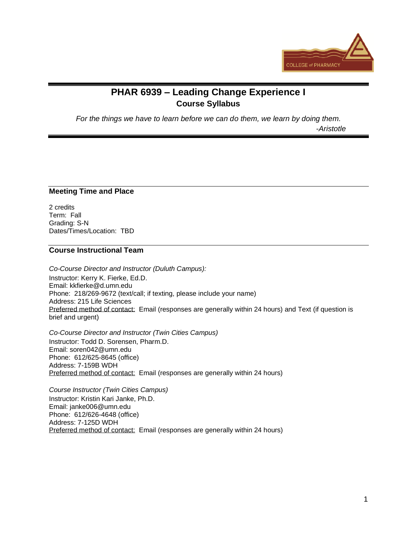

# **PHAR 6939 – Leading Change Experience I Course Syllabus**

*For the things we have to learn before we can do them, we learn by doing them.*

-*Aristotle*

## **Meeting Time and Place**

2 credits Term: Fall Grading: S-N Dates/Times/Location: TBD

#### **Course Instructional Team**

*Co-Course Director and Instructor (Duluth Campus):* Instructor: Kerry K. Fierke, Ed.D. Email: kkfierke@d.umn.edu Phone: 218/269-9672 (text/call; if texting, please include your name) Address: 215 Life Sciences Preferred method of contact: Email (responses are generally within 24 hours) and Text (if question is brief and urgent)

*Co-Course Director and Instructor (Twin Cities Campus)* Instructor: Todd D. Sorensen, Pharm.D. Email: soren042@umn.edu Phone: 612/625-8645 (office) Address: 7-159B WDH Preferred method of contact: Email (responses are generally within 24 hours)

*Course Instructor (Twin Cities Campus)* Instructor: Kristin Kari Janke, Ph.D. Email: janke006@umn.edu Phone: 612/626-4648 (office) Address: 7-125D WDH Preferred method of contact: Email (responses are generally within 24 hours)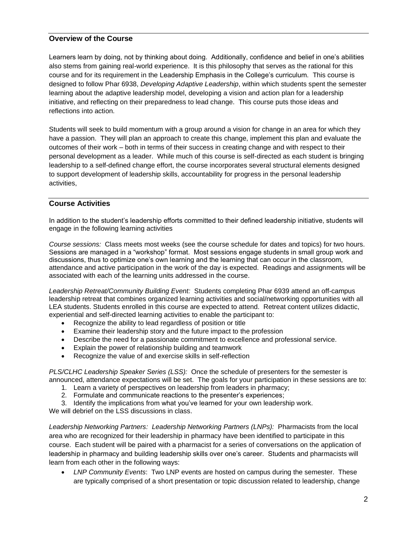## **Overview of the Course**

Learners learn by doing, not by thinking about doing. Additionally, confidence and belief in one's abilities also stems from gaining real-world experience. It is this philosophy that serves as the rational for this course and for its requirement in the Leadership Emphasis in the College's curriculum. This course is designed to follow Phar 6938, *Developing Adaptive Leadership*, within which students spent the semester learning about the adaptive leadership model, developing a vision and action plan for a leadership initiative, and reflecting on their preparedness to lead change. This course puts those ideas and reflections into action.

Students will seek to build momentum with a group around a vision for change in an area for which they have a passion. They will plan an approach to create this change, implement this plan and evaluate the outcomes of their work – both in terms of their success in creating change and with respect to their personal development as a leader. While much of this course is self-directed as each student is bringing leadership to a self-defined change effort, the course incorporates several structural elements designed to support development of leadership skills, accountability for progress in the personal leadership activities,

## **Course Activities**

In addition to the student's leadership efforts committed to their defined leadership initiative, students will engage in the following learning activities

*Course sessions:* Class meets most weeks (see the course schedule for dates and topics) for two hours. Sessions are managed in a "workshop" format. Most sessions engage students in small group work and discussions, thus to optimize one's own learning and the learning that can occur in the classroom, attendance and active participation in the work of the day is expected. Readings and assignments will be associated with each of the learning units addressed in the course.

*Leadership Retreat/Community Building Event:* Students completing Phar 6939 attend an off-campus leadership retreat that combines organized learning activities and social/networking opportunities with all LEA students. Students enrolled in this course are expected to attend. Retreat content utilizes didactic, experiential and self-directed learning activities to enable the participant to:

- Recognize the ability to lead regardless of position or title
- Examine their leadership story and the future impact to the profession
- Describe the need for a passionate commitment to excellence and professional service.
- Explain the power of relationship building and teamwork
- Recognize the value of and exercise skills in self-reflection

*PLS/CLHC Leadership Speaker Series (LSS):* Once the schedule of presenters for the semester is announced, attendance expectations will be set. The goals for your participation in these sessions are to:

- 1. Learn a variety of perspectives on leadership from leaders in pharmacy;
- 2. Formulate and communicate reactions to the presenter's experiences;
- 3. Identify the implications from what you've learned for your own leadership work.

We will debrief on the LSS discussions in class.

*Leadership Networking Partners: Leadership Networking Partners (LNPs):* Pharmacists from the local area who are recognized for their leadership in pharmacy have been identified to participate in this course. Each student will be paired with a pharmacist for a series of conversations on the application of leadership in pharmacy and building leadership skills over one's career. Students and pharmacists will learn from each other in the following ways:

• *LNP Community Events*: Two LNP events are hosted on campus during the semester. These are typically comprised of a short presentation or topic discussion related to leadership, change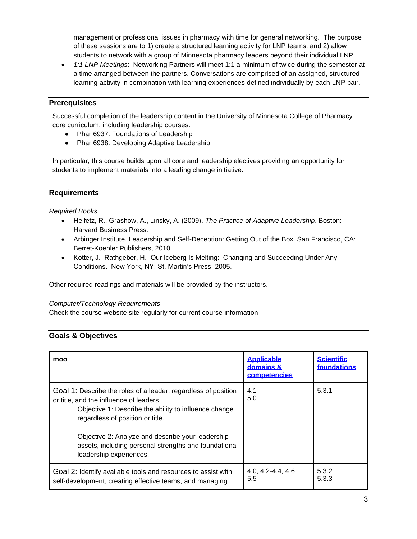management or professional issues in pharmacy with time for general networking. The purpose of these sessions are to 1) create a structured learning activity for LNP teams, and 2) allow students to network with a group of Minnesota pharmacy leaders beyond their individual LNP.

• *1:1 LNP Meetings*: Networking Partners will meet 1:1 a minimum of twice during the semester at a time arranged between the partners. Conversations are comprised of an assigned, structured learning activity in combination with learning experiences defined individually by each LNP pair.

# **Prerequisites**

Successful completion of the leadership content in the University of Minnesota College of Pharmacy core curriculum, including leadership courses:

- Phar 6937: Foundations of Leadership
- Phar 6938: Developing Adaptive Leadership

In particular, this course builds upon all core and leadership electives providing an opportunity for students to implement materials into a leading change initiative.

## **Requirements**

#### *Required Books*

- Heifetz, R., Grashow, A., Linsky, A. (2009). *The Practice of Adaptive Leadership*. Boston: Harvard Business Press.
- Arbinger Institute. Leadership and Self-Deception: Getting Out of the Box. San Francisco, CA: Berret-Koehler Publishers, 2010.
- Kotter, J. Rathgeber, H. Our Iceberg Is Melting: Changing and Succeeding Under Any Conditions. New York, NY: St. Martin's Press, 2005.

Other required readings and materials will be provided by the instructors.

#### *Computer/Technology Requirements*

Check the course website site regularly for current course information

# **Goals & Objectives**

| moo                                                                                                                                                                                                                                                                                                                                            | <b>Applicable</b><br>domains &<br>competencies | <b>Scientific</b><br>foundations |
|------------------------------------------------------------------------------------------------------------------------------------------------------------------------------------------------------------------------------------------------------------------------------------------------------------------------------------------------|------------------------------------------------|----------------------------------|
| Goal 1: Describe the roles of a leader, regardless of position<br>or title, and the influence of leaders<br>Objective 1: Describe the ability to influence change<br>regardless of position or title.<br>Objective 2: Analyze and describe your leadership<br>assets, including personal strengths and foundational<br>leadership experiences. | 4.1<br>5.0                                     | 5.3.1                            |
| Goal 2: Identify available tools and resources to assist with<br>self-development, creating effective teams, and managing                                                                                                                                                                                                                      | $4.0, 4.2 - 4.4, 4.6$<br>5.5                   | 5.3.2<br>5.3.3                   |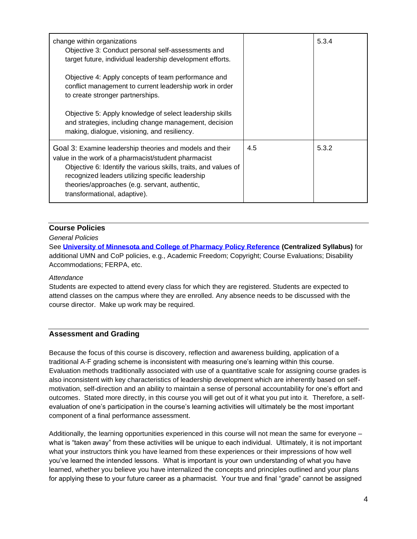| change within organizations<br>Objective 3: Conduct personal self-assessments and<br>target future, individual leadership development efforts.<br>Objective 4: Apply concepts of team performance and                                                                                                                    |     | 5.3.4 |
|--------------------------------------------------------------------------------------------------------------------------------------------------------------------------------------------------------------------------------------------------------------------------------------------------------------------------|-----|-------|
| conflict management to current leadership work in order<br>to create stronger partnerships.                                                                                                                                                                                                                              |     |       |
| Objective 5: Apply knowledge of select leadership skills<br>and strategies, including change management, decision<br>making, dialogue, visioning, and resiliency.                                                                                                                                                        |     |       |
| Goal 3: Examine leadership theories and models and their<br>value in the work of a pharmacist/student pharmacist<br>Objective 6: Identify the various skills, traits, and values of<br>recognized leaders utilizing specific leadership<br>theories/approaches (e.g. servant, authentic,<br>transformational, adaptive). | 4.5 | 5.3.2 |

# **Course Policies**

*General Policies*

See **[University of Minnesota and College of Pharmacy Policy Reference](https://docs.google.com/a/umn.edu/document/d/1artQ5e1rbzxe8lEtWo7BE8k8snZAEgMMz_QcW8yJ-II/edit) (Centralized Syllabus)** for additional UMN and CoP policies, e.g., Academic Freedom; Copyright; Course Evaluations; Disability Accommodations; FERPA, etc.

#### *Attendance*

Students are expected to attend every class for which they are registered. Students are expected to attend classes on the campus where they are enrolled. Any absence needs to be discussed with the course director. Make up work may be required.

#### **Assessment and Grading**

Because the focus of this course is discovery, reflection and awareness building, application of a traditional A-F grading scheme is inconsistent with measuring one's learning within this course. Evaluation methods traditionally associated with use of a quantitative scale for assigning course grades is also inconsistent with key characteristics of leadership development which are inherently based on selfmotivation, self-direction and an ability to maintain a sense of personal accountability for one's effort and outcomes. Stated more directly, in this course you will get out of it what you put into it. Therefore, a selfevaluation of one's participation in the course's learning activities will ultimately be the most important component of a final performance assessment.

Additionally, the learning opportunities experienced in this course will not mean the same for everyone – what is "taken away" from these activities will be unique to each individual. Ultimately, it is not important what your instructors think you have learned from these experiences or their impressions of how well you've learned the intended lessons. What is important is your own understanding of what you have learned, whether you believe you have internalized the concepts and principles outlined and your plans for applying these to your future career as a pharmacist. Your true and final "grade" cannot be assigned